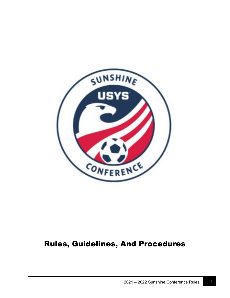

# Rules, Guidelines, And Procedures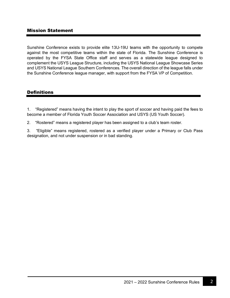## Mission Statement

Sunshine Conference exists to provide elite 13U-19U teams with the opportunity to compete against the most competitive teams within the state of Florida. The Sunshine Conference is operated by the FYSA State Office staff and serves as a statewide league designed to complement the USYS League Structure, including the USYS National League Showcase Series and USYS National League Southern Conferences. The overall direction of the league falls under the Sunshine Conference league manager, with support from the FYSA VP of Competition.

#### **Definitions**

1. "Registered" means having the intent to play the sport of soccer and having paid the fees to become a member of Florida Youth Soccer Association and USYS (US Youth Soccer).

2. "Rostered" means a registered player has been assigned to a club's team roster.

3. "Eligible" means registered, rostered as a verified player under a Primary or Club Pass designation, and not under suspension or in bad standing.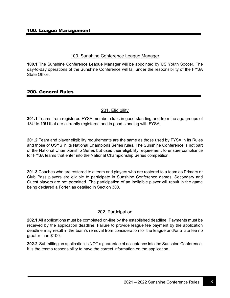#### 100. Sunshine Conference League Manager

**100.1** The Sunshine Conference League Manager will be appointed by US Youth Soccer. The day-to-day operations of the Sunshine Conference will fall under the responsibility of the FYSA State Office.

## 200. General Rules

## 201. Eligibility

**201.1** Teams from registered FYSA member clubs in good standing and from the age groups of 13U to 19U that are currently registered and in good standing with FYSA.

**201.2** Team and player eligibility requirements are the same as those used by FYSA in its Rules and those of USYS in its National Champions Series rules. The Sunshine Conference is not part of the National Championship Series but uses their eligibility requirement to ensure compliance for FYSA teams that enter into the National Championship Series competition.

**201.3** Coaches who are rostered to a team and players who are rostered to a team as Primary or Club Pass players are eligible to participate in Sunshine Conference games. Secondary and Guest players are not permitted. The participation of an ineligible player will result in the game being declared a Forfeit as detailed in Section 308.

#### 202. Participation

**202.1** All applications must be completed on-line by the established deadline. Payments must be received by the application deadline. Failure to provide league fee payment by the application deadline may result in the team's removal from consideration for the league and/or a late fee no greater than \$100.

**202.2** Submitting an application is NOT a guarantee of acceptance into the Sunshine Conference. It is the teams responsibility to have the correct information on the application.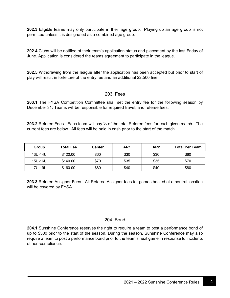**202.3** Eligible teams may only participate in their age group. Playing up an age group is not permitted unless it is designated as a combined age group.

**202.4** Clubs will be notified of their team's application status and placement by the last Friday of June. Application is considered the teams agreement to participate in the league.

**202.5** Withdrawing from the league after the application has been accepted but prior to start of play will result in forfeiture of the entry fee and an additional \$2,500 fine.

## 203. Fees

**203.1** The FYSA Competition Committee shall set the entry fee for the following season by December 31. Teams will be responsible for required travel, and referee fees.

**203.2** Referee Fees - Each team will pay ½ of the total Referee fees for each given match. The current fees are below. All fees will be paid in cash prior to the start of the match.

| Group   | <b>Total Fee</b> | Center | AR1  | AR <sub>2</sub> | <b>Total Per Team</b> |
|---------|------------------|--------|------|-----------------|-----------------------|
| 13U-14U | \$120.00         | \$60   | \$30 | \$30            | \$60                  |
| 15U-16U | \$140.00         | \$70   | \$35 | \$35            | \$70                  |
| 17U-19U | \$160.00         | \$80   | \$40 | \$40            | \$80                  |

**203.3** Referee Assignor Fees - All Referee Assignor fees for games hosted at a neutral location will be covered by FYSA.

#### 204. Bond

**204.1** Sunshine Conference reserves the right to require a team to post a performance bond of up to \$500 prior to the start of the season. During the season, Sunshine Conference may also require a team to post a performance bond prior to the team's next game in response to incidents of non-compliance.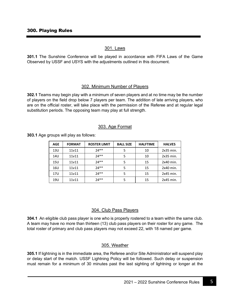## 301. Laws

**301.1** The Sunshine Conference will be played in accordance with FIFA Laws of the Game Observed by USSF and USYS with the adjustments outlined in this document.

## 302. Minimum Number of Players

**302.1** Teams may begin play with a minimum of seven players and at no time may be the number of players on the field drop below 7 players per team. The addition of late arriving players, who are on the official roster, will take place with the permission of the Referee and at regular legal substitution periods. The opposing team may play at full strength.

#### 303. Age Format

**303.1** Age groups will play as follows:

| <b>AGE</b> | <b>FORMAT</b> | <b>ROSTER LIMIT</b> | <b>BALL SIZE</b> | <b>HALFTIME</b> | <b>HALVES</b> |
|------------|---------------|---------------------|------------------|-----------------|---------------|
| 13U        | 11v11         | $74**$              | 5                | 10              | $2x35$ min.   |
| 14U        | 11v11         | $74**$              | 5                | 10              | $2x35$ min.   |
| 15U        | 11v11         | $74**$              |                  | 15              | 2x40 min.     |
| 16U        | 11v11         | $74**$              | 5                | 15              | 2x40 min.     |
| 17U        | 11v11         | $74**$              | 5                | 15              | 2x45 min.     |
| 19U        | 11v11         | $74**$              |                  | 15              | 2x45 min.     |

#### 304. Club Pass Players

**304.1** An eligible club pass player is one who is properly rostered to a team within the same club. A team may have no more than thirteen (13) club pass players on their roster for any game. The total roster of primary and club pass players may not exceed 22, with 18 named per game.

#### 305. Weather

**305.1** If lightning is in the immediate area, the Referee and/or Site Administrator will suspend play or delay start of the match. USSF Lightning Policy will be followed. Such delay or suspension must remain for a minimum of 30 minutes past the last sighting of lightning or longer at the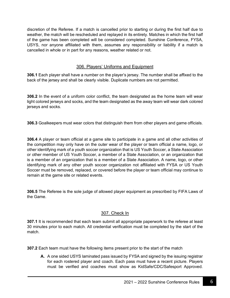discretion of the Referee. If a match is cancelled prior to starting or during the first half due to weather, the match will be rescheduled and replayed in its entirety. Matches in which the first half of the game has been completed will be considered completed. Sunshine Conference, FYSA, USYS, nor anyone affiliated with them, assumes any responsibility or liability if a match is cancelled in whole or in part for any reasons, weather related or not.

## 306. Players' Uniforms and Equipment

**306.1** Each player shall have a number on the player's jersey. The number shall be affixed to the back of the jersey and shall be clearly visible. Duplicate numbers are not permitted.

**306.2** In the event of a uniform color conflict, the team designated as the home team will wear light colored jerseys and socks, and the team designated as the away team will wear dark colored jerseys and socks.

**306.3** Goalkeepers must wear colors that distinguish them from other players and game officials.

**306.4** A player or team official at a game site to participate in a game and all other activities of the competition may only have on the outer wear of the player or team official a name, logo, or other identifying mark of a youth soccer organization that is US Youth Soccer, a State Association or other member of US Youth Soccer, a member of a State Association, or an organization that is a member of an organization that is a member of a State Association. A name, logo, or other identifying mark of any other youth soccer organization not affiliated with FYSA or US Youth Soccer must be removed, replaced, or covered before the player or team official may continue to remain at the game site or related events.

**306.5** The Referee is the sole judge of allowed player equipment as prescribed by FIFA Laws of the Game.

#### 307. Check In

**307.1** It is recommended that each team submit all appropriate paperwork to the referee at least 30 minutes prior to each match. All credential verification must be completed by the start of the match.

**307.2** Each team must have the following items present prior to the start of the match

**A.** A one sided USYS laminated pass issued by FYSA and signed by the issuing registrar for each rostered player and coach. Each pass must have a recent picture. Players must be verified and coaches must show as KidSafe/CDC/Safesport Approved.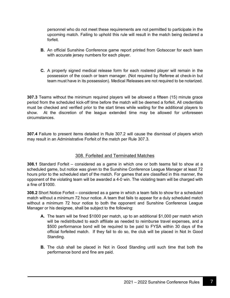personnel who do not meet these requirements are not permitted to participate in the upcoming match. Failing to uphold this rule will result in the match being declared a forfeit.

- **B.** An official Sunshine Conference game report printed from Gotsoccer for each team with accurate jersey numbers for each player.
- **C.** A properly signed medical release form for each rostered player will remain in the possession of the coach or team manager. (Not required by Referee at check-in but team must have in its possession). Medical Releases are not required to be notarized.

**307.3** Teams without the minimum required players will be allowed a fifteen (15) minute grace period from the scheduled kick-off time before the match will be deemed a forfeit. All credentials must be checked and verified prior to the start times while waiting for the additional players to show. At the discretion of the league extended time may be allowed for unforeseen circumstances.

**307.4** Failure to present items detailed in Rule 307.2 will cause the dismissal of players which may result in an Administrative Forfeit of the match per Rule 307.3.

## 308. Forfeited and Terminated Matches

**308.1** Standard Forfeit – considered as a game in which one or both teams fail to show at a scheduled game, but notice was given to the Sunshine Conference League Manager at least 72 hours prior to the scheduled start of the match. For games that are classified in this manner, the opponent of the violating team will be awarded a 4-0 win. The violating team will be charged with a fine of \$1000.

**308.2** Short Notice Forfeit – considered as a game in which a team fails to show for a scheduled match without a minimum 72 hour notice. A team that fails to appear for a duly scheduled match without a minimum 72 hour notice to both the opponent and Sunshine Conference League Manager or his designee, shall be subject to the following:

- **A.** The team will be fined \$1000 per match, up to an additional \$1,000 per match which will be redistributed to each affiliate as needed to reimburse travel expenses, and a \$500 performance bond will be required to be paid to FYSA within 30 days of the official forfeited match. If they fail to do so, the club will be placed in Not In Good Standing.
- **B.** The club shall be placed in Not in Good Standing until such time that both the performance bond and fine are paid.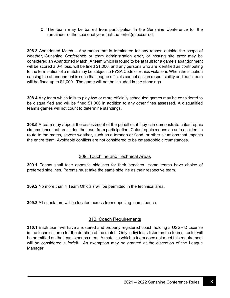**C.** The team may be barred from participation in the Sunshine Conference for the remainder of the seasonal year that the forfeit(s) occurred.

**308.3** Abandoned Match – Any match that is terminated for any reason outside the scope of weather, Sunshine Conference or team administration error, or hosting site error may be considered an Abandoned Match. A team which is found to be at fault for a game's abandonment will be scored a 0-4 loss, will be fined \$1,000, and any persons who are identified as contributing to the termination of a match may be subject to FYSA Code of Ethics violations When the situation causing the abandonment is such that league officials cannot assign responsibility and each team will be fined up to \$1,000. The game will not be included in the standings.

**308.4** Any team which fails to play two or more officially scheduled games may be considered to be disqualified and will be fined \$1,000 in addition to any other fines assessed. A disqualified team's games will not count to determine standings.

**308.5** A team may appeal the assessment of the penalties if they can demonstrate catastrophic circumstance that precluded the team from participation. Catastrophic means an auto accident in route to the match, severe weather, such as a tornado or flood, or other situations that impacts the entire team. Avoidable conflicts are not considered to be catastrophic circumstances.

## 309. Touchline and Technical Areas

**309.1** Teams shall take opposite sidelines for their benches. Home teams have choice of preferred sidelines. Parents must take the same sideline as their respective team.

**309.2** No more than 4 Team Officials will be permitted in the technical area.

**309.3** All spectators will be located across from opposing teams bench.

## 310. Coach Requirements

**310.1** Each team will have a rostered and properly registered coach holding a USSF D License in the technical area for the duration of the match. Only individuals listed on the teams' roster will be permitted on the team's bench area. A match in which a team does not meet this requirement will be considered a forfeit. An exemption may be granted at the discretion of the League Manager.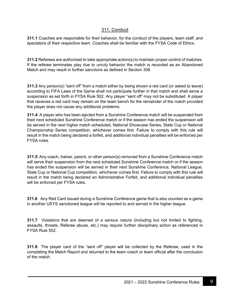## 311. Conduct

**311.1** Coaches are responsible for their behavior, for the conduct of the players, team staff, and spectators of their respective team. Coaches shall be familiar with the FYSA Code of Ethics.

**311.2** Referees are authorized to take appropriate action(s) to maintain proper control of matches. If the referee terminates play due to unruly behavior the match is recorded as an Abandoned Match and may result in further sanctions as defined in Section 308.

**311.3** Any person(s) "sent off" from a match either by being shown a red card (or asked to leave) according to FIFA Laws of the Game shall not participate further in that match and shall serve a suspension as set forth in FYSA Rule 502. Any player "sent off" may not be substituted. A player that receives a red card may remain on the team bench for the remainder of the match provided the player does not cause any additional problems.

**311.4** A player who has been ejected from a Sunshine Conference match will be suspended from their next scheduled Sunshine Conference match or if the season has ended the suspension will be served in the next higher match scheduled, National Showcase Series, State Cup or National Championship Series competition, whichever comes first. Failure to comply with this rule will result in the match being declared a forfeit, and additional individual penalties will be enforced per FYSA rules.

**311.5** Any coach, trainer, parent, or other person(s) removed from a Sunshine Conference match will serve their suspension from the next scheduled Sunshine Conference match or if the season has ended the suspension will be served in their next Sunshine Conference, National League, State Cup or National Cup competition, whichever comes first. Failure to comply with this rule will result in the match being declared an Administrative Forfeit, and additional individual penalties will be enforced per FYSA rules.

**311.6** Any Red Card issued during a Sunshine Conference game that is also counted as a game in another USYS sanctioned league will be reported to and served in the higher league.

**311.7** Violations that are deemed of a serious nature (including but not limited to fighting, assaults, threats, Referee abuse, etc.) may require further disciplinary action as referenced in FYSA Rule 502.

**311.8** The player card of the "sent off" player will be collected by the Referee, used in the completing the Match Report and returned to the team coach or team official after the conclusion of the match.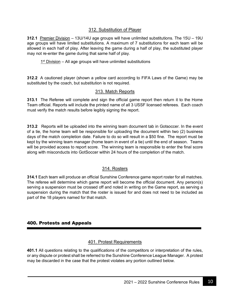## 312. Substitution of Player

**312.1** Premier Division – 13U/14U age groups will have unlimited substitutions. The 15U – 19U age groups will have limited substitutions. A maximum of 7 substitutions for each team will be allowed in each half of play. After leaving the game during a half of play, the substituted player may not re-enter the game during that same half of play.

 $1<sup>st</sup>$  Division – All age groups will have unlimited substitutions

**312.2** A cautioned player (shown a yellow card according to FIFA Laws of the Game) may be substituted by the coach, but substitution is not required.

## 313. Match Reports

**313.1** The Referee will complete and sign the official game report then return it to the Home Team official. Reports will include the printed name of all 3 USSF licensed referees. Each coach must verify the match results before legibly signing the report.

**313.2** Reports will be uploaded into the winning team document tab in Gotsoccer. In the event of a tie, the home team will be responsible for uploading the document within two (2) business days of the match completion date. Failure to do so will result in a \$50 fine. The report must be kept by the winning team manager (home team in event of a tie) until the end of season. Teams will be provided access to report score. The winning team is responsible to enter the final score along with misconducts into GotSoccer within 24 hours of the completion of the match.

## 314. Rosters

**314.1** Each team will produce an official Sunshine Conference game report roster for all matches. The referee will determine which game report will become the official document. Any person(s) serving a suspension must be crossed off and noted in writing on the Game report, as serving a suspension during the match that the roster is issued for and does not need to be included as part of the 18 players named for that match.

## 400. Protests and Appeals

## 401. Protest Requirements

**401.1** All questions relating to the qualifications of the competitors or interpretation of the rules, or any dispute or protest shall be referred to the Sunshine Conference League Manager. A protest may be discarded in the case that the protest violates any portion outlined below.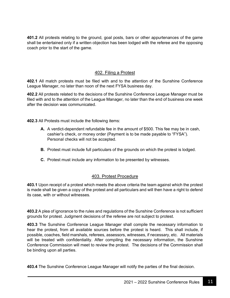**401.2** All protests relating to the ground, goal posts, bars or other appurtenances of the game shall be entertained only if a written objection has been lodged with the referee and the opposing coach prior to the start of the game.

## 402. Filing a Protest

**402.1** All match protests must be filed with and to the attention of the Sunshine Conference League Manager, no later than noon of the next FYSA business day.

**402.2** All protests related to the decisions of the Sunshine Conference League Manager must be filed with and to the attention of the League Manager, no later than the end of business one week after the decision was communicated.

**402.3** All Protests must include the following items:

- **A.** A verdict-dependent refundable fee in the amount of \$500. This fee may be in cash, cashier's check, or money order (Payment is to be made payable to "FYSA"). Personal checks will not be accepted.
- **B.** Protest must include full particulars of the grounds on which the protest is lodged.
- **C.** Protest must include any information to be presented by witnesses.

#### 403. Protest Procedure

**403.1** Upon receipt of a protest which meets the above criteria the team against which the protest is made shall be given a copy of the protest and all particulars and will then have a right to defend its case, with or without witnesses.

**403.2** A plea of ignorance to the rules and regulations of the Sunshine Conference is not sufficient grounds for protest. Judgment decisions of the referee are not subject to protest.

**403.3** The Sunshine Conference League Manager shall compile the necessary information to hear the protest, from all available sources before the protest is heard. This shall include, if possible, coaches, field marshals, referees, assessors, witnesses, if necessary, etc. All materials will be treated with confidentiality. After compiling the necessary information, the Sunshine Conference Commission will meet to review the protest. The decisions of the Commission shall be binding upon all parties.

**403.4** The Sunshine Conference League Manager will notify the parties of the final decision.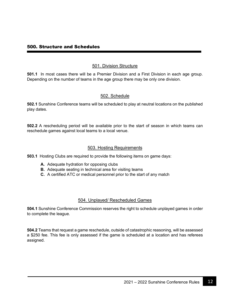#### 500. Structure and Schedules

#### 501. Division Structure

**501.1** In most cases there will be a Premier Division and a First Division in each age group. Depending on the number of teams in the age group there may be only one division.

## 502. Schedule

**502.1** Sunshine Conference teams will be scheduled to play at neutral locations on the published play dates.

**502.2** A rescheduling period will be available prior to the start of season in which teams can reschedule games against local teams to a local venue.

#### 503. Hosting Requirements

**503.1** Hosting Clubs are required to provide the following items on game days:

- **A.** Adequate hydration for opposing clubs
- **B.** Adequate seating in technical area for visiting teams
- **C.** A certified ATC or medical personnel prior to the start of any match

#### 504. Unplayed/ Rescheduled Games

**504.1** Sunshine Conference Commission reserves the right to schedule unplayed games in order to complete the league.

**504.2** Teams that request a game reschedule, outside of catastrophic reasoning, will be assessed a \$250 fee. This fee is only assessed if the game is scheduled at a location and has referees assigned.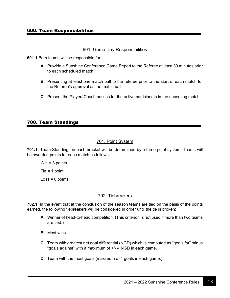#### 601. Game Day Responsibilities

**601.1** Both teams will be responsible for:

- **A.** Provide a Sunshine Conference Game Report to the Referee at least 30 minutes prior to each scheduled match.
- **B.** Presenting at least one match ball to the referee prior to the start of each match for the Referee's approval as the match ball.
- **C.** Present the Player/ Coach passes for the active participants in the upcoming match.

#### 700. Team Standings

## 701. Point System

**701.1** Team Standings in each bracket will be determined by a three-point system. Teams will be awarded points for each match as follows:

Win  $=$  3 points Tie = 1 point  $Loss = 0$  points

#### 702. Tiebreakers

**702.1** In the event that at the conclusion of the season teams are tied on the basis of the points earned, the following tiebreakers will be considered in order until the tie is broken:

- **A.** Winner of head-to-head competition. (This criterion is not used if more than two teams are tied.)
- **B.** Most wins.
- **C.** Team with greatest net goal differential (NGD) which is computed as "goals for" minus "goals against" with a maximum of +/- 4 NGD in each game.
- **D.** Team with the most goals (maximum of 4 goals in each game.)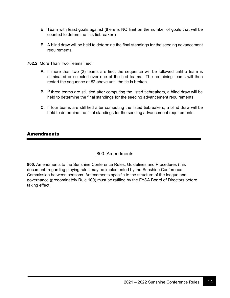- **E.** Team with least goals against (there is NO limit on the number of goals that will be counted to determine this tiebreaker.)
- **F.** A blind draw will be held to determine the final standings for the seeding advancement requirements.
- **702.2** More Than Two Teams Tied:
	- **A.** If more than two (2) teams are tied, the sequence will be followed until a team is eliminated or selected over one of the tied teams. The remaining teams will then restart the sequence at #2 above until the tie is broken.
	- **B.** If three teams are still tied after computing the listed tiebreakers, a blind draw will be held to determine the final standings for the seeding advancement requirements.
	- **C.** If four teams are still tied after computing the listed tiebreakers, a blind draw will be held to determine the final standings for the seeding advancement requirements.

## Amendments

#### 800. Amendments

**800.** Amendments to the Sunshine Conference Rules, Guidelines and Procedures (this document) regarding playing rules may be implemented by the Sunshine Conference Commission between seasons. Amendments specific to the structure of the league and governance (predominately Rule 100) must be ratified by the FYSA Board of Directors before taking effect.